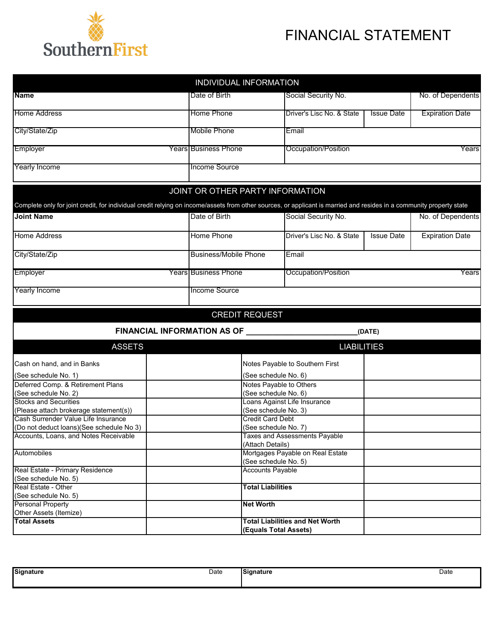

## FINANCIAL STATEMENT

|                                                                                                                                                                      | INDIVIDUAL INFORMATION           |                                                          |                              |                        |  |  |  |
|----------------------------------------------------------------------------------------------------------------------------------------------------------------------|----------------------------------|----------------------------------------------------------|------------------------------|------------------------|--|--|--|
| <b>Name</b>                                                                                                                                                          | Date of Birth                    | Social Security No.                                      |                              |                        |  |  |  |
| <b>Home Address</b>                                                                                                                                                  | Home Phone                       | Driver's Lisc No. & State                                | <b>Issue Date</b>            | <b>Expiration Date</b> |  |  |  |
|                                                                                                                                                                      |                                  |                                                          |                              |                        |  |  |  |
| City/State/Zip                                                                                                                                                       | Mobile Phone                     | Email                                                    |                              |                        |  |  |  |
| Employer                                                                                                                                                             | <b>Years Business Phone</b>      | Occupation/Position                                      | Years                        |                        |  |  |  |
| Yearly Income                                                                                                                                                        | Income Source                    |                                                          |                              |                        |  |  |  |
|                                                                                                                                                                      |                                  |                                                          |                              |                        |  |  |  |
|                                                                                                                                                                      | JOINT OR OTHER PARTY INFORMATION |                                                          |                              |                        |  |  |  |
| Complete only for joint credit, for individual credit relying on income/assets from other sources, or applicant is married and resides in a community property state |                                  |                                                          |                              |                        |  |  |  |
| <b>Joint Name</b>                                                                                                                                                    | Date of Birth                    | Social Security No.                                      |                              | No. of Dependents      |  |  |  |
| <b>Home Address</b>                                                                                                                                                  | Home Phone                       | Driver's Lisc No. & State                                | <b>Issue Date</b>            | <b>Expiration Date</b> |  |  |  |
| City/State/Zip                                                                                                                                                       | <b>Business/Mobile Phone</b>     | Email                                                    |                              |                        |  |  |  |
| Employer                                                                                                                                                             | <b>Years Business Phone</b>      | Occupation/Position                                      |                              |                        |  |  |  |
|                                                                                                                                                                      |                                  |                                                          |                              | Years                  |  |  |  |
| <b>Yearly Income</b>                                                                                                                                                 | Income Source                    |                                                          |                              |                        |  |  |  |
|                                                                                                                                                                      | <b>CREDIT REQUEST</b>            |                                                          |                              |                        |  |  |  |
|                                                                                                                                                                      | FINANCIAL INFORMATION AS OF      |                                                          | (DATE)                       |                        |  |  |  |
| <b>ASSETS</b>                                                                                                                                                        |                                  | <b>LIABILITIES</b>                                       |                              |                        |  |  |  |
| Cash on hand, and in Banks                                                                                                                                           |                                  | Notes Payable to Southern First                          |                              |                        |  |  |  |
| (See schedule No. 1)                                                                                                                                                 |                                  | (See schedule No. 6)                                     |                              |                        |  |  |  |
| Deferred Comp. & Retirement Plans                                                                                                                                    |                                  | Notes Payable to Others                                  |                              |                        |  |  |  |
| (See schedule No. 2)                                                                                                                                                 |                                  | (See schedule No. 6)                                     |                              |                        |  |  |  |
| <b>Stocks and Securities</b>                                                                                                                                         |                                  |                                                          | Loans Against Life Insurance |                        |  |  |  |
| (Please attach brokerage statement(s))                                                                                                                               |                                  | (See schedule No. 3)                                     |                              |                        |  |  |  |
| Cash Surrender Value Life Insurance                                                                                                                                  |                                  | <b>Credit Card Debt</b>                                  |                              |                        |  |  |  |
| (Do not deduct loans)(See schedule No 3)                                                                                                                             |                                  | (See schedule No. 7)                                     |                              |                        |  |  |  |
| Accounts, Loans, and Notes Receivable                                                                                                                                |                                  | <b>Taxes and Assessments Payable</b><br>(Attach Details) |                              |                        |  |  |  |
| Automobiles                                                                                                                                                          |                                  | Mortgages Payable on Real Estate                         |                              |                        |  |  |  |
|                                                                                                                                                                      |                                  | (See schedule No. 5)                                     |                              |                        |  |  |  |
| Real Estate - Primary Residence                                                                                                                                      |                                  | <b>Accounts Payable</b>                                  |                              |                        |  |  |  |
| (See schedule No. 5)                                                                                                                                                 |                                  |                                                          |                              |                        |  |  |  |
| Real Estate - Other                                                                                                                                                  |                                  | <b>Total Liabilities</b>                                 |                              |                        |  |  |  |
| (See schedule No. 5)                                                                                                                                                 |                                  |                                                          |                              |                        |  |  |  |
| <b>Personal Property</b><br>Other Assets (Itemize)                                                                                                                   |                                  | <b>Net Worth</b>                                         |                              |                        |  |  |  |
| <b>Total Assets</b>                                                                                                                                                  |                                  | <b>Total Liabilities and Net Worth</b>                   |                              |                        |  |  |  |
|                                                                                                                                                                      |                                  | (Equals Total Assets)                                    |                              |                        |  |  |  |

| <b>Signature</b> | Date | signature<br>$\sim$ $\sim$ $\sim$<br>. | Date |
|------------------|------|----------------------------------------|------|
|                  |      |                                        |      |